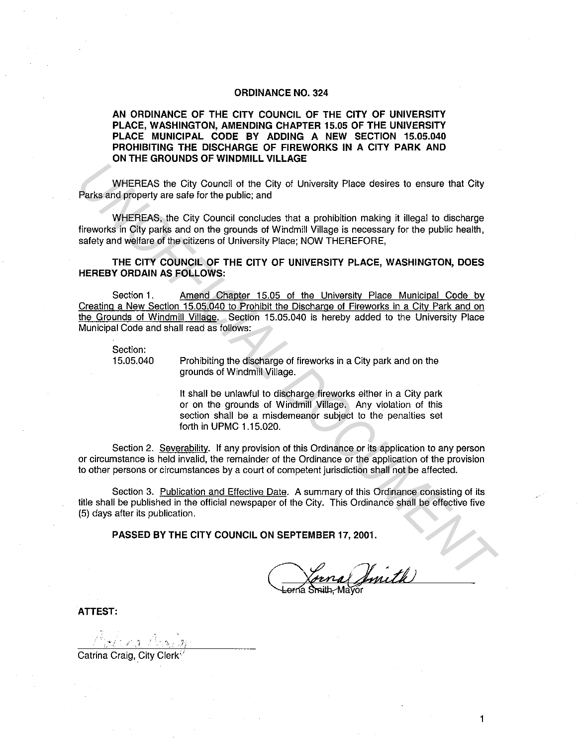## **ORDINANCE NO. 324**

## **AN ORDINANCE OF THE CITY COUNCIL OF THE CITY OF UNIVERSITY PLACE, WASHINGTON, AMENDING CHAPTER 15.05 OF THE UNIVERSITY PLACE MUNICIPAL CODE BY ADDING A NEW SECTION 15.05.040 PROHIBITING THE DISCHARGE OF FIREWORKS IN A CITY PARK AND ON THE GROUNDS OF WINDMILL VILLAGE**

WHEREAS the City Council of the City of University Place desires to ensure that City Parks and property are safe for the public; and

WHEREAS, the City Council concludes that a prohibition making it illegal to discharge fireworks in City parks and on the grounds of Windmill Village is necessary for the public health, safety and welfare of the citizens of University Place; NOW THEREFORE,

## **THE CITY COUNCIL OF THE CITY OF UNIVERSITY PLACE, WASHINGTON, DOES HEREBY ORDAIN AS FOLLOWS:**

Section 1. Amend Chapter 15.05 of the University Place Municipal Code by Creating a New Section 15.05.040 to Prohibit the Discharge of Fireworks in a City Park and on the Grounds of Windmill Village. Section 15.05.040 is hereby added to the University Place Municipal Code and shall read as follows: WHEREAS the City Council of the City of University Place desires to ensure that City<br>
Parks and property are saie for the public; and<br>
WHEREAS, the City Council conductes that a prohibition making it illegal to discharge<br>

Section:<br>15.05.040

Prohibiting the discharge of fireworks in a City park and on the grounds of Windmill Village.

It shall be unlawful to discharge fireworks either in a City park or on the grounds of Windmill Village. Any violation of this section shall be a misdemeanor subject to the penalties set forth in UPMC 1.15.020.

Section 2. Severability. If any provision of this Ordinance or its application to any person or circumstance is held invalid, the remainder of the Ordinance or the application of the provision to other persons or circumstances by a court of competent jurisdiction shall not be affected.

Section 3. Publication and Effective Date. A summary of this Ordinance consisting of its title shall be published in the official newspaper of the City. This Ordinance shall be effective five (5) days after its publication.

**PASSED BY THE CITY COUNCIL ON SEPTEMBER 17, 2001.** 

1

**ATTEST:** 

 $\hat{\alpha}_{r,n}$  ,  $\hat{\gamma}_{i}$ 

Catrina Craig, City Clerk